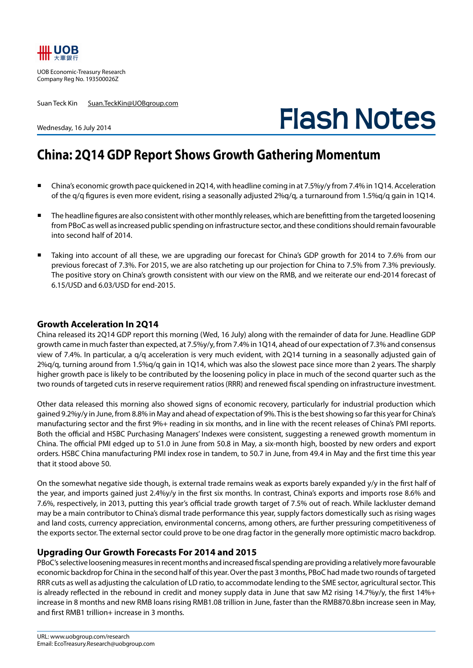

UOB Economic-Treasury Research Company Reg No. 193500026Z

Suan Teck Kin Suan.TeckKin@UOBgroup.com

# **Flash Notes**

#### Wednesday, 16 July 2014

## **China: 2Q14 GDP Report Shows Growth Gathering Momentum**

- China's economic growth pace quickened in 2Q14, with headline coming in at 7.5%y/y from 7.4% in 1Q14. Acceleration of the q/q figures is even more evident, rising a seasonally adjusted 2%q/q, a turnaround from 1.5%q/q gain in 1Q14.
- The headline figures are also consistent with other monthly releases, which are benefitting from the targeted loosening from PBoC as well as increased public spending on infrastructure sector, and these conditions should remain favourable into second half of 2014.
- Taking into account of all these, we are upgrading our forecast for China's GDP growth for 2014 to 7.6% from our previous forecast of 7.3%. For 2015, we are also ratcheting up our projection for China to 7.5% from 7.3% previously. The positive story on China's growth consistent with our view on the RMB, and we reiterate our end-2014 forecast of 6.15/USD and 6.03/USD for end-2015.

#### **Growth Acceleration In 2Q14**

China released its 2Q14 GDP report this morning (Wed, 16 July) along with the remainder of data for June. Headline GDP growth came in much faster than expected, at 7.5%y/y, from 7.4% in 1Q14, ahead of our expectation of 7.3% and consensus view of 7.4%. In particular, a q/q acceleration is very much evident, with 2Q14 turning in a seasonally adjusted gain of 2%q/q, turning around from 1.5%q/q gain in 1Q14, which was also the slowest pace since more than 2 years. The sharply higher growth pace is likely to be contributed by the loosening policy in place in much of the second quarter such as the two rounds of targeted cuts in reserve requirement ratios (RRR) and renewed fiscal spending on infrastructure investment.

Other data released this morning also showed signs of economic recovery, particularly for industrial production which gained 9.2%y/y in June, from 8.8% in May and ahead of expectation of 9%. This is the best showing so far this year for China's manufacturing sector and the first 9%+ reading in six months, and in line with the recent releases of China's PMI reports. Both the official and HSBC Purchasing Managers' Indexes were consistent, suggesting a renewed growth momentum in China. The official PMI edged up to 51.0 in June from 50.8 in May, a six-month high, boosted by new orders and export orders. HSBC China manufacturing PMI index rose in tandem, to 50.7 in June, from 49.4 in May and the first time this year that it stood above 50.

On the somewhat negative side though, is external trade remains weak as exports barely expanded y/y in the first half of the year, and imports gained just 2.4%y/y in the first six months. In contrast, China's exports and imports rose 8.6% and 7.6%, respectively, in 2013, putting this year's official trade growth target of 7.5% out of reach. While lackluster demand may be a main contributor to China's dismal trade performance this year, supply factors domestically such as rising wages and land costs, currency appreciation, environmental concerns, among others, are further pressuring competitiveness of the exports sector. The external sector could prove to be one drag factor in the generally more optimistic macro backdrop.

### **Upgrading Our Growth Forecasts For 2014 and 2015**

PBoC's selective loosening measures in recent months and increased fiscal spending are providing a relatively more favourable economic backdrop for China in the second half of this year. Over the past 3 months, PBoC had made two rounds of targeted RRR cuts as well as adjusting the calculation of LD ratio, to accommodate lending to the SME sector, agricultural sector. This is already reflected in the rebound in credit and money supply data in June that saw M2 rising 14.7%y/y, the first 14%+ increase in 8 months and new RMB loans rising RMB1.08 trillion in June, faster than the RMB870.8bn increase seen in May, and first RMB1 trillion+ increase in 3 months.